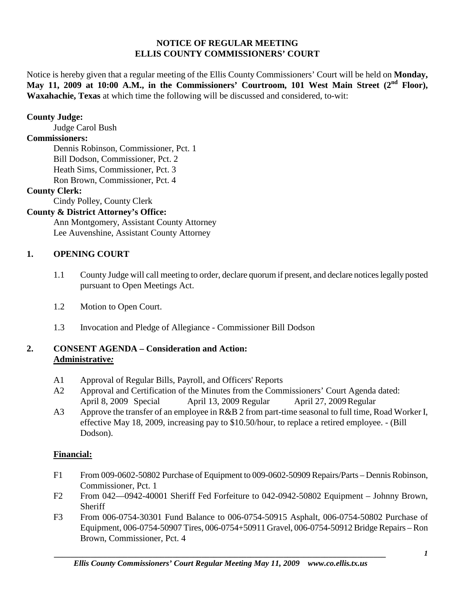#### **NOTICE OF REGULAR MEETING ELLIS COUNTY COMMISSIONERS' COURT**

Notice is hereby given that a regular meeting of the Ellis County Commissioners' Court will be held on **Monday,**  May 11, 2009 at 10:00 A.M., in the Commissioners' Courtroom, 101 West Main Street (2<sup>nd</sup> Floor), **Waxahachie, Texas** at which time the following will be discussed and considered, to-wit:

#### **County Judge:**

Judge Carol Bush

#### **Commissioners:**

Dennis Robinson, Commissioner, Pct. 1 Bill Dodson, Commissioner, Pct. 2 Heath Sims, Commissioner, Pct. 3 Ron Brown, Commissioner, Pct. 4

#### **County Clerk:**

Cindy Polley, County Clerk

### **County & District Attorney's Office:**

Ann Montgomery, Assistant County Attorney Lee Auvenshine, Assistant County Attorney

### **1. OPENING COURT**

- 1.1 County Judge will call meeting to order, declare quorum if present, and declare notices legally posted pursuant to Open Meetings Act.
- 1.2 Motion to Open Court.
- 1.3 Invocation and Pledge of Allegiance Commissioner Bill Dodson

### **2. CONSENT AGENDA – Consideration and Action: Administrative***:*

- A1 Approval of Regular Bills, Payroll, and Officers' Reports
- A2 Approval and Certification of the Minutes from the Commissioners' Court Agenda dated: April 8, 2009 Special April 13, 2009 Regular April 27, 2009 Regular
- A3 Approve the transfer of an employee in R&B 2 from part-time seasonal to full time, Road Worker I, effective May 18, 2009, increasing pay to \$10.50/hour, to replace a retired employee. - (Bill Dodson).

### **Financial:**

- F1 From 009-0602-50802 Purchase of Equipment to 009-0602-50909 Repairs/Parts Dennis Robinson, Commissioner, Pct. 1
- F2 From 042—0942-40001 Sheriff Fed Forfeiture to 042-0942-50802 Equipment Johnny Brown, **Sheriff**
- F3 From 006-0754-30301 Fund Balance to 006-0754-50915 Asphalt, 006-0754-50802 Purchase of Equipment, 006-0754-50907 Tires, 006-0754+50911 Gravel, 006-0754-50912 Bridge Repairs – Ron Brown, Commissioner, Pct. 4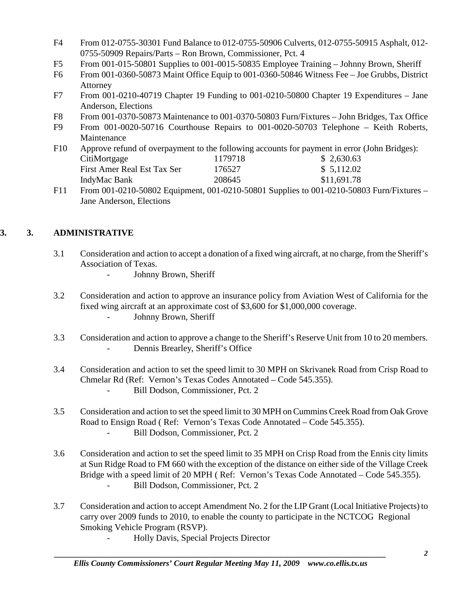- F4 From 012-0755-30301 Fund Balance to 012-0755-50906 Culverts, 012-0755-50915 Asphalt, 012- 0755-50909 Repairs/Parts – Ron Brown, Commissioner, Pct. 4
- F5 From 001-015-50801 Supplies to 001-0015-50835 Employee Training Johnny Brown, Sheriff
- F6 From 001-0360-50873 Maint Office Equip to 001-0360-50846 Witness Fee Joe Grubbs, District Attorney
- F7 From 001-0210-40719 Chapter 19 Funding to 001-0210-50800 Chapter 19 Expenditures Jane Anderson, Elections
- F8 From 001-0370-50873 Maintenance to 001-0370-50803 Furn/Fixtures John Bridges, Tax Office
- F9 From 001-0020-50716 Courthouse Repairs to 001-0020-50703 Telephone Keith Roberts, Maintenance
- F10 Approve refund of overpayment to the following accounts for payment in error (John Bridges): CitiMortgage 1179718 \$ 2,630.63 First Amer Real Est Tax Ser 176527 \$ 5,112.02 IndyMac Bank 208645 \$11,691.78
- F11 From 001-0210-50802 Equipment, 001-0210-50801 Supplies to 001-0210-50803 Furn/Fixtures Jane Anderson, Elections

# **3. 3. ADMINISTRATIVE**

- 3.1 Consideration and action to accept a donation of a fixed wing aircraft, at no charge, from the Sheriff's Association of Texas.
	- Johnny Brown, Sheriff
- 3.2 Consideration and action to approve an insurance policy from Aviation West of California for the fixed wing aircraft at an approximate cost of \$3,600 for \$1,000,000 coverage. - Johnny Brown, Sheriff
- 3.3 Consideration and action to approve a change to the Sheriff's Reserve Unit from 10 to 20 members. Dennis Brearley, Sheriff's Office
- 3.4 Consideration and action to set the speed limit to 30 MPH on Skrivanek Road from Crisp Road to Chmelar Rd (Ref: Vernon's Texas Codes Annotated – Code 545.355). - Bill Dodson, Commissioner, Pct. 2
- 3.5 Consideration and action to set the speed limit to 30 MPH on Cummins Creek Road from Oak Grove Road to Ensign Road ( Ref: Vernon's Texas Code Annotated – Code 545.355). Bill Dodson, Commissioner, Pct. 2
- 3.6 Consideration and action to set the speed limit to 35 MPH on Crisp Road from the Ennis city limits at Sun Ridge Road to FM 660 with the exception of the distance on either side of the Village Creek Bridge with a speed limit of 20 MPH (Ref: Vernon's Texas Code Annotated – Code 545.355). - Bill Dodson, Commissioner, Pct. 2
- 3.7 Consideration and action to accept Amendment No. 2 for the LIP Grant (Local Initiative Projects) to carry over 2009 funds to 2010, to enable the county to participate in the NCTCOG Regional Smoking Vehicle Program (RSVP).
	- Holly Davis, Special Projects Director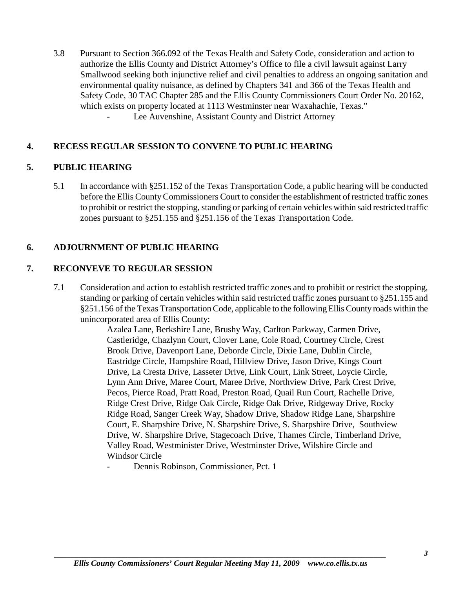3.8 Pursuant to Section 366.092 of the Texas Health and Safety Code, consideration and action to authorize the Ellis County and District Attorney's Office to file a civil lawsuit against Larry Smallwood seeking both injunctive relief and civil penalties to address an ongoing sanitation and environmental quality nuisance, as defined by Chapters 341 and 366 of the Texas Health and Safety Code, 30 TAC Chapter 285 and the Ellis County Commissioners Court Order No. 20162, which exists on property located at 1113 Westminster near Waxahachie, Texas." Lee Auvenshine, Assistant County and District Attorney

#### **4. RECESS REGULAR SESSION TO CONVENE TO PUBLIC HEARING**

#### **5. PUBLIC HEARING**

5.1 In accordance with §251.152 of the Texas Transportation Code, a public hearing will be conducted before the Ellis County Commissioners Court to consider the establishment of restricted traffic zones to prohibit or restrict the stopping, standing or parking of certain vehicles within said restricted traffic zones pursuant to §251.155 and §251.156 of the Texas Transportation Code.

### **6. ADJOURNMENT OF PUBLIC HEARING**

#### **7. RECONVEVE TO REGULAR SESSION**

7.1 Consideration and action to establish restricted traffic zones and to prohibit or restrict the stopping, standing or parking of certain vehicles within said restricted traffic zones pursuant to §251.155 and §251.156 of the Texas Transportation Code, applicable to the following Ellis County roads within the unincorporated area of Ellis County:

> Azalea Lane, Berkshire Lane, Brushy Way, Carlton Parkway, Carmen Drive, Castleridge, Chazlynn Court, Clover Lane, Cole Road, Courtney Circle, Crest Brook Drive, Davenport Lane, Deborde Circle, Dixie Lane, Dublin Circle, Eastridge Circle, Hampshire Road, Hillview Drive, Jason Drive, Kings Court Drive, La Cresta Drive, Lasseter Drive, Link Court, Link Street, Loycie Circle, Lynn Ann Drive, Maree Court, Maree Drive, Northview Drive, Park Crest Drive, Pecos, Pierce Road, Pratt Road, Preston Road, Quail Run Court, Rachelle Drive, Ridge Crest Drive, Ridge Oak Circle, Ridge Oak Drive, Ridgeway Drive, Rocky Ridge Road, Sanger Creek Way, Shadow Drive, Shadow Ridge Lane, Sharpshire Court, E. Sharpshire Drive, N. Sharpshire Drive, S. Sharpshire Drive, Southview Drive, W. Sharpshire Drive, Stagecoach Drive, Thames Circle, Timberland Drive, Valley Road, Westminister Drive, Westminster Drive, Wilshire Circle and Windsor Circle

Dennis Robinson, Commissioner, Pct. 1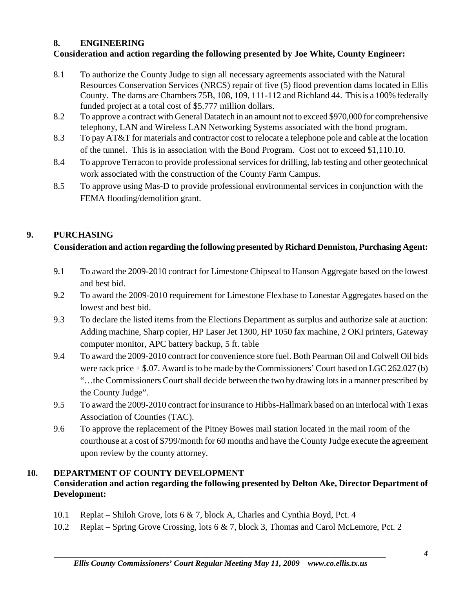### **8. ENGINEERING**

# **Consideration and action regarding the following presented by Joe White, County Engineer:**

- 8.1 To authorize the County Judge to sign all necessary agreements associated with the Natural Resources Conservation Services (NRCS) repair of five (5) flood prevention dams located in Ellis County. The dams are Chambers 75B, 108, 109, 111-112 and Richland 44. This is a 100% federally funded project at a total cost of \$5.777 million dollars.
- 8.2 To approve a contract with General Datatech in an amount not to exceed \$970,000 for comprehensive telephony, LAN and Wireless LAN Networking Systems associated with the bond program.
- 8.3 To pay AT&T for materials and contractor cost to relocate a telephone pole and cable at the location of the tunnel. This is in association with the Bond Program. Cost not to exceed \$1,110.10.
- 8.4 To approve Terracon to provide professional services for drilling, lab testing and other geotechnical work associated with the construction of the County Farm Campus.
- 8.5 To approve using Mas-D to provide professional environmental services in conjunction with the FEMA flooding/demolition grant.

# **9. PURCHASING**

# **Consideration and action regarding the following presented by Richard Denniston, Purchasing Agent:**

- 9.1 To award the 2009-2010 contract for Limestone Chipseal to Hanson Aggregate based on the lowest and best bid.
- 9.2 To award the 2009-2010 requirement for Limestone Flexbase to Lonestar Aggregates based on the lowest and best bid.
- 9.3 To declare the listed items from the Elections Department as surplus and authorize sale at auction: Adding machine, Sharp copier, HP Laser Jet 1300, HP 1050 fax machine, 2 OKI printers, Gateway computer monitor, APC battery backup, 5 ft. table
- 9.4 To award the 2009-2010 contract for convenience store fuel. Both Pearman Oil and Colwell Oil bids were rack price  $+$  \$.07. Award is to be made by the Commissioners' Court based on LGC 262.027 (b) "…the Commissioners Court shall decide between the two by drawing lots in a manner prescribed by the County Judge".
- 9.5 To award the 2009-2010 contract for insurance to Hibbs-Hallmark based on an interlocal with Texas Association of Counties (TAC).
- 9.6 To approve the replacement of the Pitney Bowes mail station located in the mail room of the courthouse at a cost of \$799/month for 60 months and have the County Judge execute the agreement upon review by the county attorney.

### **10. DEPARTMENT OF COUNTY DEVELOPMENT**

# **Consideration and action regarding the following presented by Delton Ake, Director Department of Development:**

- 10.1 Replat Shiloh Grove, lots 6 & 7, block A, Charles and Cynthia Boyd, Pct. 4
- 10.2 Replat Spring Grove Crossing, lots 6 & 7, block 3, Thomas and Carol McLemore, Pct. 2